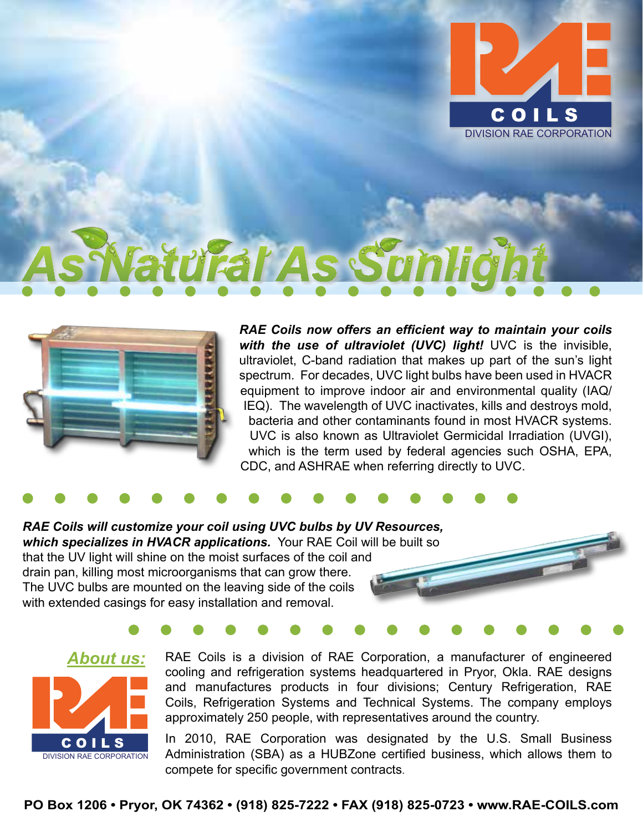

## Fal As Sun



*RAE Coils now offers an efficient way to maintain your coils with the use of ultraviolet (UVC) light!* UVC is the invisible, ultraviolet, C-band radiation that makes up part of the sun's light spectrum. For decades, UVC light bulbs have been used in HVACR equipment to improve indoor air and environmental quality (IAQ/ IEQ). The wavelength of UVC inactivates, kills and destroys mold, bacteria and other contaminants found in most HVACR systems. UVC is also known as Ultraviolet Germicidal Irradiation (UVGI), which is the term used by federal agencies such OSHA, EPA, CDC, and ASHRAE when referring directly to UVC.

*RAE Coils will customize your coil using UVC bulbs by UV Resources, which specializes in HVACR applications.* Your RAE Coil will be built so that the UV light will shine on the moist surfaces of the coil and drain pan, killing most microorganisms that can grow there. The UVC bulbs are mounted on the leaving side of the coils with extended casings for easy installation and removal.



RAE Coils is a division of RAE Corporation, a manufacturer of engineered cooling and refrigeration systems headquartered in Pryor, Okla. RAE designs and manufactures products in four divisions; Century Refrigeration, RAE Coils, Refrigeration Systems and Technical Systems. The company employs approximately 250 people, with representatives around the country.

In 2010, RAE Corporation was designated by the U.S. Small Business Administration (SBA) as a HUBZone certified business, which allows them to compete for specific government contracts.